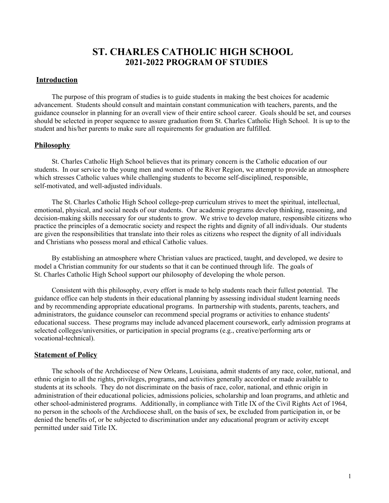# **ST. CHARLES CATHOLIC HIGH SCHOOL 2021-2022 PROGRAM OF STUDIES**

### **Introduction**

The purpose of this program of studies is to guide students in making the best choices for academic advancement. Students should consult and maintain constant communication with teachers, parents, and the guidance counselor in planning for an overall view of their entire school career. Goals should be set, and courses should be selected in proper sequence to assure graduation from St. Charles Catholic High School. It is up to the student and his/her parents to make sure all requirements for graduation are fulfilled.

#### **Philosophy**

St. Charles Catholic High School believes that its primary concern is the Catholic education of our students. In our service to the young men and women of the River Region, we attempt to provide an atmosphere which stresses Catholic values while challenging students to become self-disciplined, responsible, self-motivated, and well-adjusted individuals.

The St. Charles Catholic High School college-prep curriculum strives to meet the spiritual, intellectual, emotional, physical, and social needs of our students. Our academic programs develop thinking, reasoning, and decision-making skills necessary for our students to grow. We strive to develop mature, responsible citizens who practice the principles of a democratic society and respect the rights and dignity of all individuals. Our students are given the responsibilities that translate into their roles as citizens who respect the dignity of all individuals and Christians who possess moral and ethical Catholic values.

By establishing an atmosphere where Christian values are practiced, taught, and developed, we desire to model a Christian community for our students so that it can be continued through life. The goals of St. Charles Catholic High School support our philosophy of developing the whole person.

Consistent with this philosophy, every effort is made to help students reach their fullest potential. The guidance office can help students in their educational planning by assessing individual student learning needs and by recommending appropriate educational programs. In partnership with students, parents, teachers, and administrators, the guidance counselor can recommend special programs or activities to enhance students' educational success. These programs may include advanced placement coursework, early admission programs at selected colleges/universities, or participation in special programs (e.g., creative/performing arts or vocational-technical).

#### **Statement of Policy**

The schools of the Archdiocese of New Orleans, Louisiana, admit students of any race, color, national, and ethnic origin to all the rights, privileges, programs, and activities generally accorded or made available to students at its schools. They do not discriminate on the basis of race, color, national, and ethnic origin in administration of their educational policies, admissions policies, scholarship and loan programs, and athletic and other school-administered programs. Additionally, in compliance with Title IX of the Civil Rights Act of 1964, no person in the schools of the Archdiocese shall, on the basis of sex, be excluded from participation in, or be denied the benefits of, or be subjected to discrimination under any educational program or activity except permitted under said Title IX.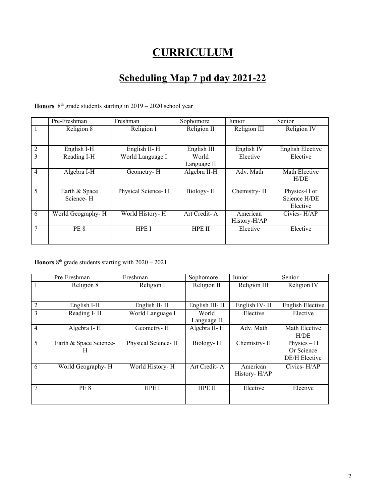# **CURRICULUM**

# **Scheduling Map 7 pd day 2021-22**

Honors 8<sup>th</sup> grade students starting in 2019 – 2020 school year

|                | Pre-Freshman               | Freshman           | Sophomore                       | Junior                   | Senior                                   |
|----------------|----------------------------|--------------------|---------------------------------|--------------------------|------------------------------------------|
|                | Religion 8                 | Religion I         | Religion II                     | Religion III             | Religion IV                              |
|                |                            |                    |                                 |                          |                                          |
| 2              | English I-H                | English II-H       | $\overline{\text{English III}}$ | English <sub>IV</sub>    | <b>English Elective</b>                  |
| 3              | Reading I-H                | World Language I   | World                           | Elective                 | Elective                                 |
|                |                            |                    | Language II                     |                          |                                          |
| $\overline{4}$ | Algebra I-H                | Geometry-H         | Algebra II-H                    | Adv. Math                | Math Elective<br>H/DE                    |
| 5              | Earth & Space<br>Science-H | Physical Science-H | Biology-H                       | Chemistry-H              | Physics-H or<br>Science H/DE<br>Elective |
| 6              | World Geography-H          | World History-H    | Art Credit-A                    | American<br>History-H/AP | Civics-H/AP                              |
| 7              | <b>PE 8</b>                | HPE I              | HPE II                          | Elective                 | Elective                                 |

Honors<sup>8<sup>th</sup> grade students starting with 2020 – 2021</sup>

|                | Pre-Freshman           | Freshman           | Sophomore     | Junior       | Senior                  |
|----------------|------------------------|--------------------|---------------|--------------|-------------------------|
|                | Religion 8             | Religion I         | Religion II   | Religion III | Religion IV             |
|                |                        |                    |               |              |                         |
| $\overline{2}$ | English I-H            | English II-H       | English III-H | English IV-H | <b>English Elective</b> |
| 3              | Reading I-H            | World Language I   | World         | Elective     | Elective                |
|                |                        |                    | Language II   |              |                         |
| $\overline{4}$ | Algebra I-H            | Geometry-H         | Algebra II-H  | Adv. Math    | Math Elective           |
|                |                        |                    |               |              | H/DE                    |
| 5              | Earth & Space Science- | Physical Science-H | Biology-H     | Chemistry-H  | Physics $-$ H           |
|                | H                      |                    |               |              | Or Science              |
|                |                        |                    |               |              | <b>DE/H</b> Elective    |
| 6              | World Geography-H      | World History-H    | Art Credit-A  | American     | Civics-H/AP             |
|                |                        |                    |               | History-H/AP |                         |
|                |                        |                    |               |              |                         |
| 7              | PE 8                   | HPE I              | HPE II        | Elective     | Elective                |
|                |                        |                    |               |              |                         |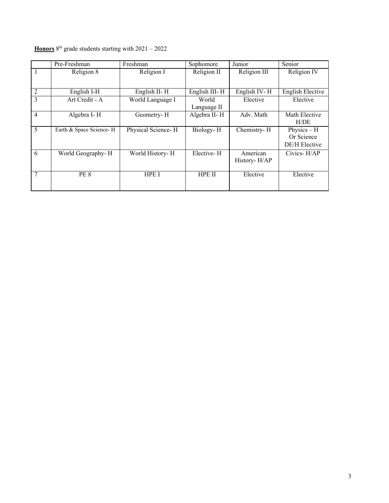|                | $\overline{\text{Pre}}$ -Freshman | Freshman           | Sophomore     | Junior                   | Senior                  |
|----------------|-----------------------------------|--------------------|---------------|--------------------------|-------------------------|
|                | Religion 8                        | Religion I         | Religion II   | Religion III             | Religion IV             |
|                |                                   |                    |               |                          |                         |
| 2              | English I-H                       | English II-H       | English III-H | English IV-H             | <b>English Elective</b> |
| $\overline{3}$ | Art Credit - A                    | World Language I   | World         | Elective                 | Elective                |
|                |                                   |                    | Language II   |                          |                         |
| $\overline{4}$ | Algebra I-H                       | Geometry-H         | Algebra II-H  | Adv. Math                | Math Elective           |
|                |                                   |                    |               |                          | H/DE                    |
| 5              | Earth & Space Science-H           | Physical Science-H | Biology-H     | Chemistry-H              | Physics $-$ H           |
|                |                                   |                    |               |                          | Or Science              |
|                |                                   |                    |               |                          | <b>DE/H</b> Elective    |
| 6              | World Geography-H                 | World History-H    | Elective-H    | American<br>History-H/AP | Civics-H/AP             |
|                |                                   |                    |               |                          |                         |
| $\overline{7}$ | PE <sub>8</sub>                   | HPE I              | <b>HPE II</b> | Elective                 | Elective                |
|                |                                   |                    |               |                          |                         |

#### **Honors**  $8<sup>th</sup>$  grade students starting with  $2021 - 2022$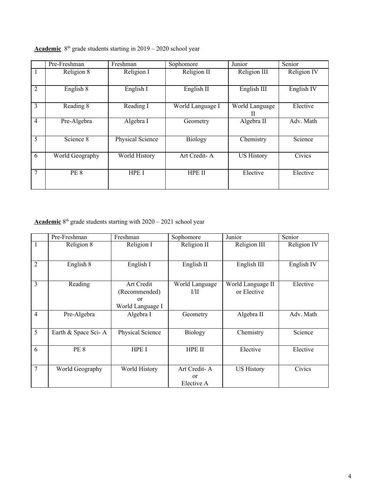|                | Pre-Freshman    | Freshman                | Sophomore        | Junior              | Senior                |
|----------------|-----------------|-------------------------|------------------|---------------------|-----------------------|
| $\overline{1}$ | Religion 8      | Religion I              | Religion II      | Religion III        | Religion IV           |
| 2              | English 8       | English I               | English II       | English III         | English <sub>IV</sub> |
| $\mathcal{E}$  | Reading 8       | Reading I               | World Language I | World Language<br>Н | Elective              |
| $\overline{4}$ | Pre-Algebra     | Algebra I               | Geometry         | Algebra II          | Adv. Math             |
| 5              | Science 8       | <b>Physical Science</b> | <b>Biology</b>   | Chemistry           | Science               |
| 6              | World Geography | World History           | Art Credit-A     | <b>US History</b>   | Civics                |
| $\overline{7}$ | PE 8            | HPE I                   | <b>HPE II</b>    | Elective            | Elective              |

#### Academic 8<sup>th</sup> grade students starting in 2019 – 2020 school year

#### Academic<sup>8th</sup> grade students starting with 2020 – 2021 school year

|                | Pre-Freshman        | Freshman                                              | Sophomore                              | Junior                           | Senior                |
|----------------|---------------------|-------------------------------------------------------|----------------------------------------|----------------------------------|-----------------------|
| 1              | Religion 8          | Religion I                                            | Religion II                            | Religion III                     | Religion IV           |
| $\overline{2}$ | English 8           | English I                                             | English II                             | English III                      | English <sub>IV</sub> |
| 3              | Reading             | Art Credit<br>(Recommended)<br>or<br>World Language I | World Language<br>1/11                 | World Language II<br>or Elective | Elective              |
| $\overline{4}$ | Pre-Algebra         | Algebra I                                             | Geometry                               | Algebra II                       | Adv. Math             |
| 5              | Earth & Space Sci-A | Physical Science                                      | <b>Biology</b>                         | Chemistry                        | Science               |
| 6              | PE <sub>8</sub>     | <b>HPE I</b>                                          | <b>HPE II</b>                          | Elective                         | Elective              |
| 7              | World Geography     | World History                                         | Art Credit-A<br>$\alpha$<br>Elective A | <b>US History</b>                | Civics                |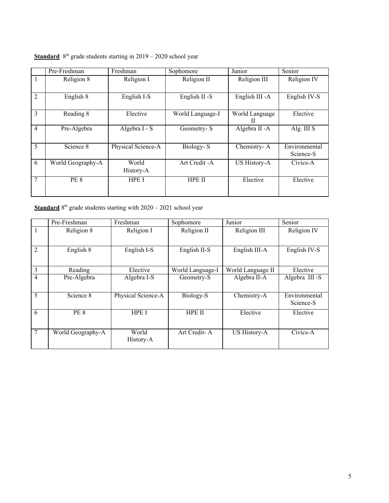|                | Pre-Freshman      | Freshman           | Sophomore        | Junior              | Senior                     |
|----------------|-------------------|--------------------|------------------|---------------------|----------------------------|
| 1              | Religion 8        | Religion I         | Religion II      | Religion III        | Religion IV                |
| $\overline{2}$ | English 8         | English I-S        | English II -S    | English III - A     | English IV-S               |
| 3              | Reading 8         | Elective           | World Language-I | World Language<br>Н | Elective                   |
| $\overline{4}$ | Pre-Algebra       | Algebra I - S      | Geometry-S       | Algebra II - A      | Alg. III S                 |
| 5              | Science 8         | Physical Science-A | Biology-S        | Chemistry-A         | Environmental<br>Science-S |
| 6              | World Geography-A | World<br>History-A | Art Credit - A   | US History-A        | Civics-A                   |
| 7              | PE <sub>8</sub>   | HPE I              | <b>HPE II</b>    | Elective            | Elective                   |

**Standard** 8<sup>th</sup> grade students starting in 2019 – 2020 school year

**Standard** 8<sup>th</sup> grade students starting with 2020 – 2021 school year

|                | $\overline{\text{Pre}}$ -Freshman | Freshman           | Sophomore        | Junior              | Senior                     |
|----------------|-----------------------------------|--------------------|------------------|---------------------|----------------------------|
| 1              | Religion 8                        | Religion I         | Religion II      | Religion III        | Religion IV                |
| $\overline{2}$ | English 8                         | English I-S        | English II-S     | English III-A       | English IV-S               |
| 3              | Reading                           | Elective           | World Language-I | World Language II   | Elective                   |
| $\overline{4}$ | Pre-Algebra                       | Algebra I-S        | Geometry-S       | Algebra II-A        | Algebra III -S             |
| 5              | Science 8                         | Physical Science-A | Biology-S        | Chemistry-A         | Environmental<br>Science-S |
| 6              | <b>PE 8</b>                       | <b>HPE I</b>       | HPE II           | Elective            | Elective                   |
| 7              | World Geography-A                 | World<br>History-A | Art Credit-A     | <b>US History-A</b> | Civics-A                   |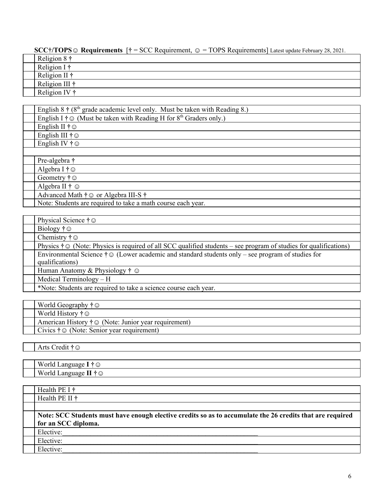# **SCC†/TOPS☺ Requirements** [**†** = SCC Requirement, ☺ = TOPS Requirements] Latest update February 28, 2021.

| Religion $8 \dagger$   |
|------------------------|
| Religion I $\dagger$   |
| Religion II $\dagger$  |
| Religion III $\dagger$ |
| Religion IV †          |

| English 8 $\dagger$ (8 <sup>th</sup> grade academic level only. Must be taken with Reading 8.) |
|------------------------------------------------------------------------------------------------|
| English I $\dagger \odot$ (Must be taken with Reading H for 8 <sup>th</sup> Graders only.)     |
| English II $\dagger \odot$                                                                     |
| English III $\dagger \odot$                                                                    |
| English IV $\dagger \odot$                                                                     |
|                                                                                                |
| Pre-algebra †                                                                                  |
| Algebra I $\dagger \odot$                                                                      |
| Geometry $\dagger \odot$                                                                       |
| Algebra II $\dagger \odot$                                                                     |
| Advanced Math † ⊙ or Algebra III-S †                                                           |
| Note: Students are required to take a math course each year.                                   |
|                                                                                                |

| Physical Science $\dagger \odot$                                                                                                 |
|----------------------------------------------------------------------------------------------------------------------------------|
| Biology $\dagger \odot$                                                                                                          |
| Chemistry $\dagger \odot$                                                                                                        |
| Physics $\dagger \odot$ (Note: Physics is required of all SCC qualified students – see program of studies for qualifications)    |
| Environmental Science $\dagger \odot$ (Lower academic and standard students only – see program of studies for<br>qualifications) |
| Human Anatomy & Physiology $\dagger \odot$                                                                                       |
| Medical Terminology $- H$                                                                                                        |
| *Note: Students are required to take a science course each year.                                                                 |

| World Geography $\dagger \odot$                                  |
|------------------------------------------------------------------|
| World History $\dagger \odot$                                    |
| American History $\dagger \odot$ (Note: Junior year requirement) |
| Civics $\dagger \odot$ (Note: Senior year requirement)           |

Arts Credit **†☺**

| Worla<br>an.<br>$\cdots$<br>-1295<br>Lalle <sup>1</sup><br>سا<br>. |
|--------------------------------------------------------------------|
| --<br>Worla<br>・ムッ<br>. Languag<br>◡<br>. .                        |

| Health PE I $\dagger$                                                                                     |  |  |  |
|-----------------------------------------------------------------------------------------------------------|--|--|--|
| Health PE II $\dagger$                                                                                    |  |  |  |
|                                                                                                           |  |  |  |
| Note: SCC Students must have enough elective credits so as to accumulate the 26 credits that are required |  |  |  |
| for an SCC diploma.                                                                                       |  |  |  |
| Elective:                                                                                                 |  |  |  |
| Elective:                                                                                                 |  |  |  |
| Elective:                                                                                                 |  |  |  |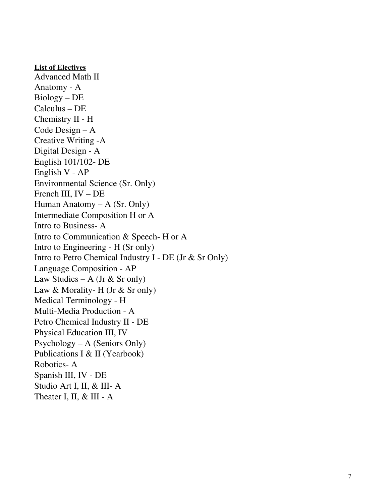#### **List of Electives**

Advanced Mat h I I Anatomy - A Biology – DE Calculus – DE Chemistry II - H Code Design – A Creative Writing -A Digital Design - A English 101/102- DE English V - AP Environmental Science (Sr. Only) French III, IV – DE Human Anatomy – A  $(Sr. Only)$ Intermediate Composition H or A Intro to Business-A Intro to Communication & Speech- H or A Intro to Engineering -  $H(Sr \text{ only})$ Intro to Petro Chemical Industry I - DE (Jr  $\&$  Sr Only) Language Composition - AP Law Studies – A (Jr  $\&$  Sr only) Law & Morality- H (Jr & Sr only) Medical Terminology - H Multi-Media Production - A Petro Chemical Industry II - DE Physical Education III, IV  $Psychology - A (Seniors Only)$ Publications I & II (Yearbook) Robotics- A Spanish III, IV - DE Studio Art I, II, & III- A Theater I, II, & III - A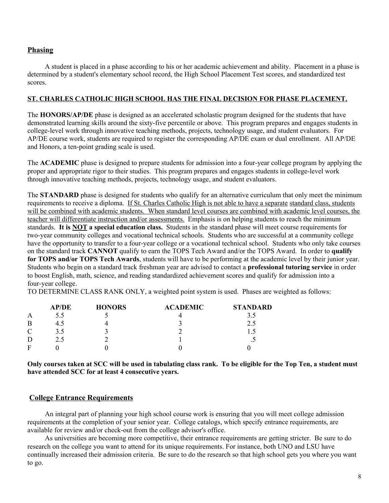# **Phasing**

A student is placed in a phase according to his or her academic achievement and ability. Placement in a phase is determined by a student's elementary school record, the High School Placement Test scores, and standardized test scores.

#### **ST. CHARLES CATHOLIC HIGH SCHOOL HAS THE FINAL DECISION FOR PHASE PLACEMENT.**

The **HONORS/AP/DE** phase is designed as an accelerated scholastic program designed for the students that have demonstrated learning skills around the sixty-five percentile or above. This program prepares and engages students in college-level work through innovative teaching methods, projects, technology usage, and student evaluators. For AP/DE course work, students are required to register the corresponding AP/DE exam or dual enrollment. All AP/DE and Honors, a ten-point grading scale is used.

The **ACADEMIC** phase is designed to prepare students for admission into a four-year college program by applying the proper and appropriate rigor to their studies. This program prepares and engages students in college-level work through innovative teaching methods, projects, technology usage, and student evaluators.

The **STANDARD** phase is designed for students who qualify for an alternative curriculum that only meet the minimum requirements to receive a diploma. If St. Charles Catholic High is not able to have a separate standard class, students will be combined with academic students. When standard level courses are combined with academic level courses, the teacher will differentiate instruction and/or assessments. Emphasis is on helping students to reach the minimum standards. **It is NOT a special education class.** Students in the standard phase will meet course requirements for two-year community colleges and vocational technical schools. Students who are successful at a community college have the opportunity to transfer to a four-year college or a vocational technical school. Students who only take courses on the standard track **CANNOT** qualify to earn the TOPS Tech Award and/or the TOPS Award. In order to **qualify for TOPS and/or TOPS Tech Awards**, students will have to be performing at the academic level by their junior year. Students who begin on a standard track freshman year are advised to contact a **professional tutoring service** in order to boost English, math, science, and reading standardized achievement scores and qualify for admission into a four-year college.

TO DETERMINE CLASS RANK ONLY, a weighted point system is used. Phases are weighted as follows:

|          | AP/DE | <b>HONORS</b> | <b>ACADEMIC</b> | <b>STANDARD</b>          |
|----------|-------|---------------|-----------------|--------------------------|
| A        | 5.5   |               |                 |                          |
|          | 4.5   |               |                 |                          |
| $\Gamma$ | 3.5   |               |                 |                          |
|          | 2.5   |               |                 | $\overline{\phantom{a}}$ |
|          |       |               |                 |                          |

Only courses taken at SCC will be used in tabulating class rank. To be eligible for the Top Ten, a student must **have attended SCC for at least 4 consecutive years.**

# **College Entrance Requirements**

An integral part of planning your high school course work is ensuring that you will meet college admission requirements at the completion of your senior year. College catalogs, which specify entrance requirements, are available for review and/or check-out from the college advisor's office.

As universities are becoming more competitive, their entrance requirements are getting stricter. Be sure to do research on the college you want to attend for its unique requirements. For instance, both UNO and LSU have continually increased their admission criteria. Be sure to do the research so that high school gets you where you want to go.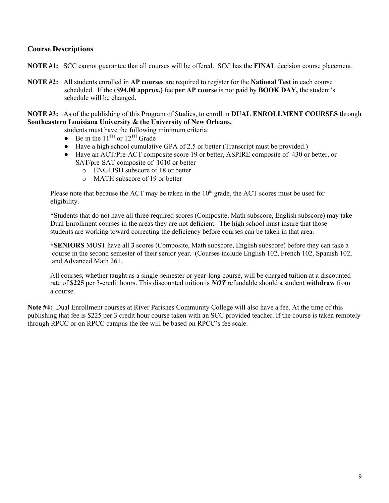# **Course Descriptions**

- **NOTE #1:** SCC cannot guarantee that all courses will be offered. SCC has the **FINAL** decision course placement.
- **NOTE #2:** All students enrolled in **AP courses** are required to register for the **National Test** in each course scheduled. If the (**\$94.00 approx.)** fee **per AP course** is not paid by **BOOK DAY,** the student's schedule will be changed.

**NOTE #3:** As of the publishing of this Program of Studies, to enroll in **DUAL ENROLLMENT COURSES** through **Southeastern Louisiana University & the University of New Orleans,**

students must have the following minimum criteria:

- Be in the  $11^{\text{TH}}$  or  $12^{\text{TH}}$  Grade
- Have a high school cumulative GPA of 2.5 or better (Transcript must be provided.)
- Have an ACT/Pre-ACT composite score 19 or better, ASPIRE composite of 430 or better, or SAT/pre-SAT composite of 1010 or better
	- o ENGLISH subscore of 18 or better
	- o MATH subscore of 19 or better

Please note that because the ACT may be taken in the  $10<sup>th</sup>$  grade, the ACT scores must be used for eligibility.

\*Students that do not have all three required scores (Composite, Math subscore, English subscore) may take Dual Enrollment courses in the areas they are not deficient. The high school must insure that those students are working toward correcting the deficiency before courses can be taken in that area.

**\*SENIORS** MUST have all **3** scores (Composite, Math subscore, English subscore) before they can take a course in the second semester of their senior year. (Courses include English 102, French 102, Spanish 102, and Advanced Math 261.

All courses, whether taught as a single-semester or year-long course, will be charged tuition at a discounted rate of **\$225** per 3-credit hours. This discounted tuition is *NOT* refundable should a student **withdraw** from a course.

**Note #4:** Dual Enrollment courses at River Parishes Community College will also have a fee. At the time of this publishing that fee is \$225 per 3 credit hour course taken with an SCC provided teacher. If the course is taken remotely through RPCC or on RPCC campus the fee will be based on RPCC's fee scale.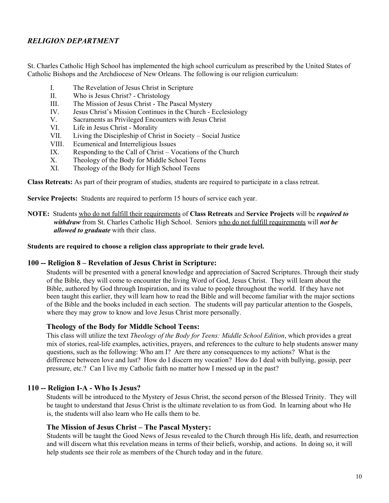# *RELIGION DEPARTMENT*

St. Charles Catholic High School has implemented the high school curriculum as prescribed by the United States of Catholic Bishops and the Archdiocese of New Orleans. The following is our religion curriculum:

- I. The Revelation of Jesus Christ in Scripture
- II. Who is Jesus Christ? Christology
- III. The Mission of Jesus Christ The Pascal Mystery
- IV. Jesus Christ's Mission Continues in the Church Ecclesiology
- V. Sacraments as Privileged Encounters with Jesus Christ
- VI. Life in Jesus Christ Morality
- VII. Living the Discipleship of Christ in Society Social Justice
- VIII. Ecumenical and Interreligious Issues
- IX. Responding to the Call of Christ Vocations of the Church
- X. Theology of the Body for Middle School Teens
- XI. Theology of the Body for High School Teens

**Class Retreats:** As part of their program of studies, students are required to participate in a class retreat.

**Service Projects:** Students are required to perform 15 hours of service each year.

**NOTE:** Students who do not fulfill their requirements of **Class Retreats** and **Service Projects** will be *required to withdraw* from St. Charles Catholic High School. Seniors who do not fulfill requirements will *not be allowed to graduate* with their class.

#### **Students are required to choose a religion class appropriate to their grade level.**

#### **100 -- Religion 8 – Revelation of Jesus Christ in Scripture:**

Students will be presented with a general knowledge and appreciation of Sacred Scriptures. Through their study of the Bible, they will come to encounter the living Word of God, Jesus Christ. They will learn about the Bible, authored by God through Inspiration, and its value to people throughout the world. If they have not been taught this earlier, they will learn how to read the Bible and will become familiar with the major sections of the Bible and the books included in each section. The students will pay particular attention to the Gospels, where they may grow to know and love Jesus Christ more personally.

#### **Theology of the Body for Middle School Teens:**

 This class will utilize the text *Theology of the Body for Teens: Middle School Edition*, which provides a great mix of stories, real-life examples, activities, prayers, and references to the culture to help students answer many questions, such as the following: Who am I? Are there any consequences to my actions? What is the difference between love and lust? How do I discern my vocation? How do I deal with bullying, gossip, peer pressure, etc.? Can I live my Catholic faith no matter how I messed up in the past?

#### **110 -- Religion I-A - Who Is Jesus?**

 Students will be introduced to the Mystery of Jesus Christ, the second person of the Blessed Trinity. They will be taught to understand that Jesus Christ is the ultimate revelation to us from God. In learning about who He is, the students will also learn who He calls them to be.

#### **The Mission of Jesus Christ – The Pascal Mystery:**

Students will be taught the Good News of Jesus revealed to the Church through His life, death, and resurrection and will discern what this revelation means in terms of their beliefs, worship, and actions. In doing so, it will help students see their role as members of the Church today and in the future.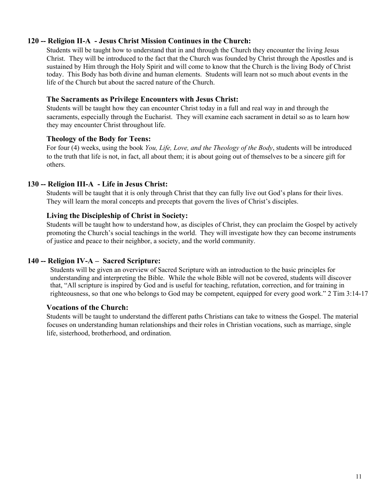# **120 -- Religion II-A - Jesus Christ Mission Continues in the Church:**

 Students will be taught how to understand that in and through the Church they encounter the living Jesus Christ. They will be introduced to the fact that the Church was founded by Christ through the Apostles and is sustained by Him through the Holy Spirit and will come to know that the Church is the living Body of Christ today. This Body has both divine and human elements. Students will learn not so much about events in the life of the Church but about the sacred nature of the Church.

# **The Sacraments as Privilege Encounters with Jesus Christ:**

 Students will be taught how they can encounter Christ today in a full and real way in and through the sacraments, especially through the Eucharist. They will examine each sacrament in detail so as to learn how they may encounter Christ throughout life.

# **Theology of the Body for Teens:**

 For four (4) weeks, using the book *You, Life, Love, and the Theology of the Body*, students will be introduced to the truth that life is not, in fact, all about them; it is about going out of themselves to be a sincere gift for others.

# **130 -- Religion III-A - Life in Jesus Christ:**

 Students will be taught that it is only through Christ that they can fully live out God's plans for their lives. They will learn the moral concepts and precepts that govern the lives of Christ's disciples.

#### **Living the Discipleship of Christ in Society:**

 Students will be taught how to understand how, as disciples of Christ, they can proclaim the Gospel by actively promoting the Church's social teachings in the world. They will investigate how they can become instruments of justice and peace to their neighbor, a society, and the world community.

# **140 -- Religion IV-A – Sacred Scripture:**

Students will be given an overview of Sacred Scripture with an introduction to the basic principles for understanding and interpreting the Bible. While the whole Bible will not be covered, students will discover that, "All scripture is inspired by God and is useful for teaching, refutation, correction, and for training in righteousness, so that one who belongs to God may be competent, equipped for every good work." 2 Tim 3:14-17

#### **Vocations of the Church:**

 Students will be taught to understand the different paths Christians can take to witness the Gospel. The material focuses on understanding human relationships and their roles in Christian vocations, such as marriage, single life, sisterhood, brotherhood, and ordination.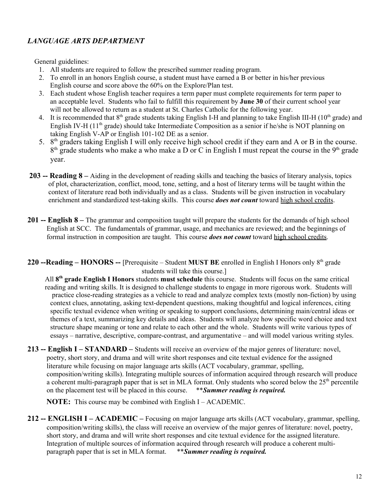# *LANGUAGE ARTS DEPARTMENT*

General guidelines:

- 1. All students are required to follow the prescribed summer reading program.
- 2. To enroll in an honors English course, a student must have earned a B or better in his/her previous English course and score above the 60% on the Explore/Plan test.
- 3. Each student whose English teacher requires a term paper must complete requirements for term paper to an acceptable level. Students who fail to fulfill this requirement by **June 30** of their current school year will not be allowed to return as a student at St. Charles Catholic for the following year.
- 4. It is recommended that  $8<sup>th</sup>$  grade students taking English I-H and planning to take English III-H (10<sup>th</sup> grade) and English IV-H (11<sup>th</sup> grade) should take Intermediate Composition as a senior if he/she is NOT planning on taking English V-AP or English 101-102 DE as a senior.
- 5. 8<sup>th</sup> graders taking English I will only receive high school credit if they earn and A or B in the course.  $8<sup>th</sup>$  grade students who make a who make a D or C in English I must repeat the course in the  $9<sup>th</sup>$  grade year.
- **203 -- Reading 8 –** Aiding in the development of reading skills and teaching the basics of literary analysis, topics of plot, characterization, conflict, mood, tone, setting, and a host of literary terms will be taught within the context of literature read both individually and as a class. Students will be given instruction in vocabulary enrichment and standardized test-taking skills. This course *does not count* toward high school credits.
- **201 -- English 8** The grammar and composition taught will prepare the students for the demands of high school English at SCC. The fundamentals of grammar, usage, and mechanics are reviewed; and the beginnings of formal instruction in composition are taught. This course *does not count* toward high school credits.
- 220 --Reading HONORS -- [Prerequisite Student MUST BE enrolled in English I Honors only 8<sup>th</sup> grade students will take this course.]

All **8 th grade English I Honors** students **must schedule** this course. Students will focus on the same critical reading and writing skills. It is designed to challenge students to engage in more rigorous work. Students will practice close-reading strategies as a vehicle to read and analyze complex texts (mostly non-fiction) by using context clues, annotating, asking text-dependent questions, making thoughtful and logical inferences, citing specific textual evidence when writing or speaking to support conclusions, determining main/central ideas or themes of a text, summarizing key details and ideas. Students will analyze how specific word choice and text structure shape meaning or tone and relate to each other and the whole. Students will write various types of essays – narrative, descriptive, compare-contrast, and argumentative – and will model various writing styles.

**213 -- English I – STANDARD –** Students will receive an overview of the major genres of literature: novel, poetry, short story, and drama and will write short responses and cite textual evidence for the assigned literature while focusing on major language arts skills (ACT vocabulary, grammar, spelling, composition/writing skills). Integrating multiple sources of information acquired through research will produce a coherent multi-paragraph paper that is set in MLA format. Only students who scored below the 25<sup>th</sup> percentile on the placement test will be placed in this course. \*\**Summer reading is required.*

 **NOTE:** This course may be combined with English I – ACADEMIC.

**212 -- ENGLISH I – ACADEMIC –** Focusing on major language arts skills (ACT vocabulary, grammar, spelling, composition/writing skills), the class will receive an overview of the major genres of literature: novel, poetry, short story, and drama and will write short responses and cite textual evidence for the assigned literature. Integration of multiple sources of information acquired through research will produce a coherent multiparagraph paper that is set in MLA format. \*\**Summer reading is required.*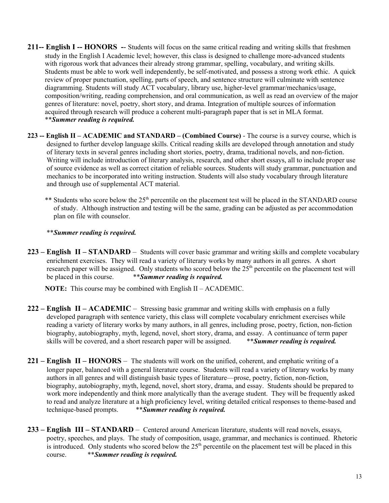- **211-- English I -- HONORS -** Students will focus on the same critical reading and writing skills that freshmen study in the English I Academic level; however, this class is designed to challenge more-advanced students with rigorous work that advances their already strong grammar, spelling, vocabulary, and writing skills. Students must be able to work well independently, be self-motivated, and possess a strong work ethic. A quick review of proper punctuation, spelling, parts of speech, and sentence structure will culminate with sentence diagramming. Students will study ACT vocabulary, library use, higher-level grammar/mechanics/usage, composition/writing, reading comprehension, and oral communication, as well as read an overview of the major genres of literature: novel, poetry, short story, and drama. Integration of multiple sources of information acquired through research will produce a coherent multi-paragraph paper that is set in MLA format. \*\**Summer reading is required.*
- **223 -- English II – ACADEMIC and STANDARD – (Combined Course)** The course is a survey course, which is designed to further develop language skills. Critical reading skills are developed through annotation and study of literary texts in several genres including short stories, poetry, drama, traditional novels, and non-fiction. Writing will include introduction of literary analysis, research, and other short essays, all to include proper use of source evidence as well as correct citation of reliable sources. Students will study grammar, punctuation and mechanics to be incorporated into writing instruction. Students will also study vocabulary through literature and through use of supplemental ACT material.
	- \*\* Students who score below the 25<sup>th</sup> percentile on the placement test will be placed in the STANDARD course of study. Although instruction and testing will be the same, grading can be adjusted as per accommodation plan on file with counselor.

# \*\**Summer reading is required.*

**223 – English II – STANDARD** – Students will cover basic grammar and writing skills and complete vocabulary enrichment exercises. They will read a variety of literary works by many authors in all genres. A short research paper will be assigned. Only students who scored below the  $25<sup>th</sup>$  percentile on the placement test will be placed in this course. \*\**Summer reading is required.*

**NOTE:** This course may be combined with English II – ACADEMIC.

- **222 English II ACADEMIC** Stressing basic grammar and writing skills with emphasis on a fully developed paragraph with sentence variety, this class will complete vocabulary enrichment exercises while reading a variety of literary works by many authors, in all genres, including prose, poetry, fiction, non-fiction biography, autobiography, myth, legend, novel, short story, drama, and essay. A continuance of term paper skills will be covered, and a short research paper will be assigned. \*\**Summer reading is required.*
- **221 English II HONORS** The students will work on the unified, coherent, and emphatic writing of a longer paper, balanced with a general literature course. Students will read a variety of literary works by many authors in all genres and will distinguish basic types of literature—prose, poetry, fiction, non-fiction, biography, autobiography, myth, legend, novel, short story, drama, and essay. Students should be prepared to work more independently and think more analytically than the average student. They will be frequently asked to read and analyze literature at a high proficiency level, writing detailed critical responses to theme-based and technique-based prompts. \*\**Summer reading is required.*
- **233 English III STANDARD** Centered around American literature, students will read novels, essays, poetry, speeches, and plays. The study of composition, usage, grammar, and mechanics is continued. Rhetoric is introduced. Only students who scored below the  $25<sup>th</sup>$  percentile on the placement test will be placed in this course. \*\**Summer reading is required.*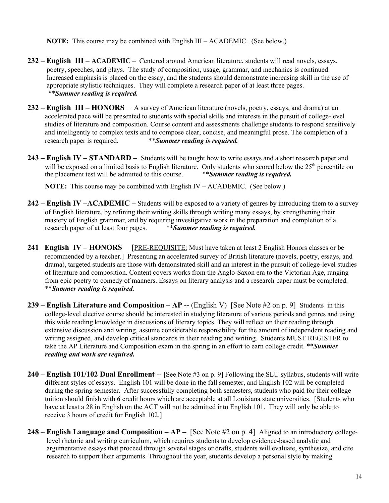**NOTE:** This course may be combined with English III – ACADEMIC. (See below.)

- **232 English III ACADEMIC** Centered around American literature, students will read novels, essays, poetry, speeches, and plays. The study of composition, usage, grammar, and mechanics is continued. Increased emphasis is placed on the essay, and the students should demonstrate increasing skill in the use of appropriate stylistic techniques. They will complete a research paper of at least three pages. \*\**Summer reading is required.*
- **232 English III HONORS** A survey of American literature (novels, poetry, essays, and drama) at an accelerated pace will be presented to students with special skills and interests in the pursuit of college-level studies of literature and composition. Course content and assessments challenge students to respond sensitively and intelligently to complex texts and to compose clear, concise, and meaningful prose. The completion of a research paper is required. \*\**Summer reading is required.*
- **243 English IV STANDARD** Students will be taught how to write essays and a short research paper and will be exposed on a limited basis to English literature. Only students who scored below the 25<sup>th</sup> percentile on the placement test will be admitted to this course. \*\**Summer reading is required.*

**NOTE:** This course may be combined with English IV – ACADEMIC. (See below.)

- **242 English IV –ACADEMIC** Students will be exposed to a variety of genres by introducing them to a survey of English literature, by refining their writing skills through writing many essays, by strengthening their mastery of English grammar, and by requiring investigative work in the preparation and completion of a research paper of at least four pages. \*\**Summer reading is required.*
- **241** –**English IV HONORS**  [PRE-REQUISITE: Must have taken at least 2 English Honors classes or be recommended by a teacher.] Presenting an accelerated survey of British literature (novels, poetry, essays, and drama), targeted students are those with demonstrated skill and an interest in the pursuit of college-level studies of literature and composition. Content covers works from the Anglo-Saxon era to the Victorian Age, ranging from epic poetry to comedy of manners. Essays on literary analysis and a research paper must be completed. \*\**Summer reading is required.*
- **239 – English Literature and Composition AP --** (English V) [See Note #2 on p. 9] Students in this college-level elective course should be interested in studying literature of various periods and genres and using this wide reading knowledge in discussions of literary topics. They will reflect on their reading through extensive discussion and writing, assume considerable responsibility for the amount of independent reading and writing assigned, and develop critical standards in their reading and writing. Students MUST REGISTER to take the AP Literature and Composition exam in the spring in an effort to earn college credit. \*\**Summer reading and work are required.*
- **240 English 101/102 Dual Enrollment** -- [See Note #3 on p. 9] Following the SLU syllabus, students will write different styles of essays. English 101 will be done in the fall semester, and English 102 will be completed during the spring semester. After successfully completing both semesters, students who paid for their college tuition should finish with **6** credit hours which are acceptable at all Louisiana state universities. [Students who have at least a 28 in English on the ACT will not be admitted into English 101. They will only be able to receive 3 hours of credit for English 102.]
- **248 English Language and Composition AP –** [See Note #2 on p. 4] Aligned to an introductory collegelevel rhetoric and writing curriculum, which requires students to develop evidence-based analytic and argumentative essays that proceed through several stages or drafts, students will evaluate, synthesize, and cite research to support their arguments. Throughout the year, students develop a personal style by making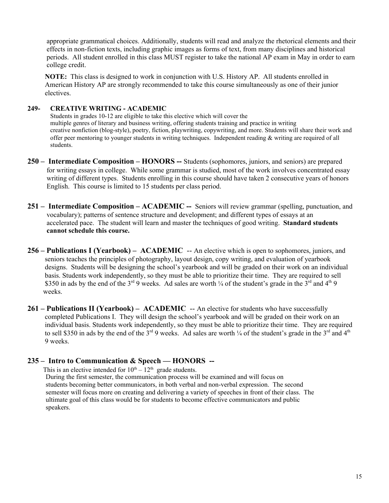appropriate grammatical choices. Additionally, students will read and analyze the rhetorical elements and their effects in non-fiction texts, including graphic images as forms of text, from many disciplines and historical periods. All student enrolled in this class MUST register to take the national AP exam in May in order to earn college credit.

**NOTE:** This class is designed to work in conjunction with U.S. History AP. All students enrolled in American History AP are strongly recommended to take this course simultaneously as one of their junior electives.

#### **249- CREATIVE WRITING - ACADEMIC**

Students in grades 10-12 are eligible to take this elective which will cover the multiple genres of literary and business writing, offering students training and practice in writing creative nonfiction (blog-style), poetry, fiction, playwriting, copywriting, and more. Students will share their work and offer peer mentoring to younger students in writing techniques. Independent reading & writing are required of all students.

- **250 Intermediate Composition HONORS --** Students (sophomores, juniors, and seniors) are prepared for writing essays in college. While some grammar is studied, most of the work involves concentrated essay writing of different types. Students enrolling in this course should have taken 2 consecutive years of honors English. This course is limited to 15 students per class period.
- **251 Intermediate Composition ACADEMIC --** Seniors will review grammar (spelling, punctuation, and vocabulary); patterns of sentence structure and development; and different types of essays at an accelerated pace. The student will learn and master the techniques of good writing. **Standard students cannot schedule this course.**
- **256 Publications I (Yearbook) ACADEMIC** -- An elective which is open to sophomores, juniors, and seniors teaches the principles of photography, layout design, copy writing, and evaluation of yearbook designs. Students will be designing the school's yearbook and will be graded on their work on an individual basis. Students work independently, so they must be able to prioritize their time. They are required to sell \$350 in ads by the end of the  $3^{rd}$  9 weeks. Ad sales are worth  $\frac{1}{4}$  of the student's grade in the  $3^{rd}$  and  $4^{th}$  9 weeks.
- 261 Publications II (Yearbook) ACADEMIC -- An elective for students who have successfully completed Publications I. They will design the school's yearbook and will be graded on their work on an individual basis. Students work independently, so they must be able to prioritize their time. They are required to sell \$350 in ads by the end of the  $3^{rd}$  9 weeks. Ad sales are worth  $\frac{1}{4}$  of the student's grade in the  $3^{rd}$  and  $4^{th}$ 9 weeks.

# **235 – Intro to Communication & Speech — HONORS --**

This is an elective intended for  $10^{th} - 12^{th}$  grade students.

 During the first semester, the communication process will be examined and will focus on students becoming better communicators, in both verbal and non-verbal expression. The second semester will focus more on creating and delivering a variety of speeches in front of their class. The ultimate goal of this class would be for students to become effective communicators and public speakers.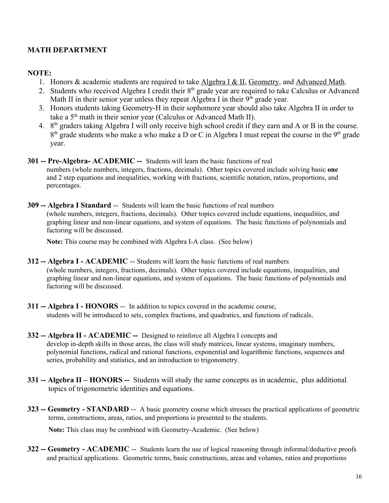# **MATH DEPARTMENT**

# **NOTE:**

- 1. Honors & academic students are required to take Algebra I & II, Geometry, and Advanced Math.
- 2. Students who received Algebra I credit their 8<sup>th</sup> grade year are required to take Calculus or Advanced Math II in their senior year unless they repeat Algebra I in their  $9<sup>th</sup>$  grade year.
- 3. Honors students taking Geometry-H in their sophomore year should also take Algebra II in order to take a 5<sup>th</sup> math in their senior year (Calculus or Advanced Math II).
- 4. 8<sup>th</sup> graders taking Algebra I will only receive high school credit if they earn and A or B in the course.  $8<sup>th</sup>$  grade students who make a who make a D or C in Algebra I must repeat the course in the  $9<sup>th</sup>$  grade year.
- **301 -- Pre-Algebra- ACADEMIC --** Students will learn the basic functions of real numbers (whole numbers, integers, fractions, decimals). Other topics covered include solving basic **one** and 2 step equations and inequalities, working with fractions, scientific notation, ratios, proportions, and percentages.
- **309 -- Algebra I Standard** --Students will learn the basic functions of real numbers (whole numbers, integers, fractions, decimals). Other topics covered include equations, inequalities, and graphing linear and non-linear equations, and system of equations. The basic functions of polynomials and factoring will be discussed.

**Note:** This course may be combined with Algebra I-A class. (See below)

- **312 -- Algebra I ACADEMIC** -- Students will learn the basic functions of real numbers (whole numbers, integers, fractions, decimals). Other topics covered include equations, inequalities, and graphing linear and non-linear equations, and system of equations. The basic functions of polynomials and factoring will be discussed.
- **311 -- Algebra I HONORS** -- In addition to topics covered in the academic course, students will be introduced to sets, complex fractions, and quadratics, and functions of radicals.
- **332 -- Algebra II ACADEMIC --** Designed to reinforce all Algebra I concepts and develop in-depth skills in those areas, the class will study matrices, linear systems, imaginary numbers, polynomial functions, radical and rational functions, exponential and logarithmic functions, sequences and series, probability and statistics, and an introduction to trigonometry.
- **331 -- Algebra II HONORS --** Students will study the same concepts as in academic, plus additional topics of trigonometric identities and equations.
- **323 -- Geometry STANDARD** -- A basic geometry course which stresses the practical applications of geometric terms, constructions, areas, ratios, and proportions is presented to the students.

**Note:** This class may be combined with Geometry-Academic. (See below)

**322 -- Geometry - ACADEMIC** -- Students learn the use of logical reasoning through informal/deductive proofs and practical applications. Geometric terms, basic constructions, areas and volumes, ratios and proportions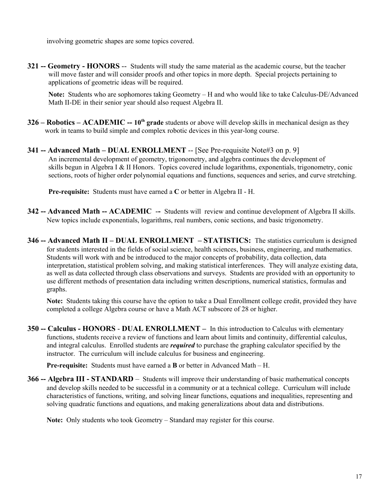involving geometric shapes are some topics covered.

**321 -- Geometry - HONORS** -- Students will study the same material as the academic course, but the teacher will move faster and will consider proofs and other topics in more depth. Special projects pertaining to applications of geometric ideas will be required.

**Note:** Students who are sophomores taking Geometry – H and who would like to take Calculus-DE/Advanced Math II-DE in their senior year should also request Algebra II.

- **326 Robotics ACADEMIC -- 10<sup>th</sup> grade** students or above will develop skills in mechanical design as they work in teams to build simple and complex robotic devices in this year-long course.
- **341 -- Advanced Math DUAL ENROLLMENT** -- [See Pre-requisite Note#3 on p. 9] An incremental development of geometry, trigonometry, and algebra continues the development of skills begun in Algebra I & II Honors. Topics covered include logarithms, exponentials, trigonometry, conic sections, roots of higher order polynomial equations and functions, sequences and series, and curve stretching.

**Pre-requisite:** Students must have earned a **C** or better in Algebra II - H.

- **342 -- Advanced Math -- ACADEMIC** -Students will review and continue development of Algebra II skills. New topics include exponentials, logarithms, real numbers, conic sections, and basic trigonometry.
- **346 -- Advanced Math II DUAL ENROLLMENT STATISTICS:** The statistics curriculum is designed for students interested in the fields of social science, health sciences, business, engineering, and mathematics. Students will work with and be introduced to the major concepts of probability, data collection, data interpretation, statistical problem solving, and making statistical interferences. They will analyze existing data, as well as data collected through class observations and surveys. Students are provided with an opportunity to use different methods of presentation data including written descriptions, numerical statistics, formulas and graphs.

**Note:** Students taking this course have the option to take a Dual Enrollment college credit, provided they have completed a college Algebra course or have a Math ACT subscore of 28 or higher.

**350 -- Calculus - HONORS** - **DUAL ENROLLMENT –** In this introduction to Calculus with elementary functions, students receive a review of functions and learn about limits and continuity, differential calculus, and integral calculus. Enrolled students are *required* to purchase the graphing calculator specified by the instructor. The curriculum will include calculus for business and engineering.

**Pre-requisite:** Students must have earned a **B** or better in Advanced Math – H.

**366 -- Algebra III - STANDARD** – Students will improve their understanding of basic mathematical concepts and develop skills needed to be successful in a community or at a technical college. Curriculum will include characteristics of functions, writing, and solving linear functions, equations and inequalities, representing and solving quadratic functions and equations, and making generalizations about data and distributions.

**Note:** Only students who took Geometry – Standard may register for this course.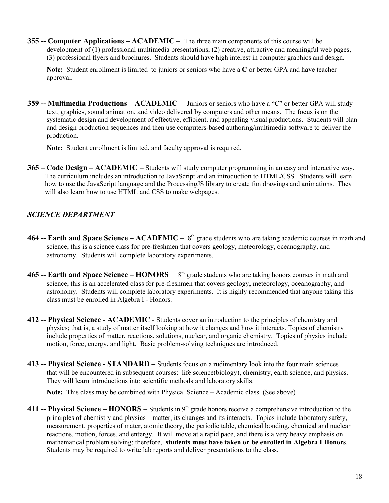**355 -- Computer Applications – ACADEMIC** – The three main components of this course will be development of (1) professional multimedia presentations, (2) creative, attractive and meaningful web pages, (3) professional flyers and brochures. Students should have high interest in computer graphics and design.

**Note:** Student enrollment is limited to juniors or seniors who have a **C** or better GPA and have teacher approval.

**359 -- Multimedia Productions – ACADEMIC –** Juniors or seniors who have a "C" or better GPA will study text, graphics, sound animation, and video delivered by computers and other means. The focus is on the systematic design and development of effective, efficient, and appealing visual productions. Students will plan and design production sequences and then use computers-based authoring/multimedia software to deliver the production.

**Note:** Student enrollment is limited, and faculty approval is required.

**365 – Code Design – ACADEMIC –** Students will study computer programming in an easy and interactive way. The curriculum includes an introduction to JavaScript and an introduction to HTML/CSS. Students will learn how to use the JavaScript language and the ProcessingJS library to create fun drawings and animations. They will also learn how to use HTML and CSS to make webpages.

# *SCIENCE DEPARTMENT*

- **464 -- Earth and Space Science ACADEMIC**  $8<sup>th</sup>$  grade students who are taking academic courses in math and science, this is a science class for pre-freshmen that covers geology, meteorology, oceanography, and astronomy. Students will complete laboratory experiments.
- **465 -- Earth and Space Science HONORS** 8<sup>th</sup> grade students who are taking honors courses in math and science, this is an accelerated class for pre-freshmen that covers geology, meteorology, oceanography, and astronomy. Students will complete laboratory experiments. It is highly recommended that anyone taking this class must be enrolled in Algebra I - Honors.
- **412 -- Physical Science ACADEMIC** Students cover an introduction to the principles of chemistry and physics; that is, a study of matter itself looking at how it changes and how it interacts. Topics of chemistry include properties of matter, reactions, solutions, nuclear, and organic chemistry. Topics of physics include motion, force, energy, and light. Basic problem-solving techniques are introduced.
- **413 -- Physical Science STANDARD** Students focus on a rudimentary look into the four main sciences that will be encountered in subsequent courses: life science(biology), chemistry, earth science, and physics. They will learn introductions into scientific methods and laboratory skills.

**Note:** This class may be combined with Physical Science – Academic class. (See above)

**411 -- Physical Science –**  $HONORS$  **– Students in**  $9<sup>th</sup>$  **grade honors receive a comprehensive introduction to the** principles of chemistry and physics—matter, its changes and its interacts. Topics include laboratory safety, measurement, properties of mater, atomic theory, the periodic table, chemical bonding, chemical and nuclear reactions, motion, forces, and entergy. It will move at a rapid pace, and there is a very heavy emphasis on mathematical problem solving; therefore, **students must have taken or be enrolled in Algebra I Honors**. Students may be required to write lab reports and deliver presentations to the class.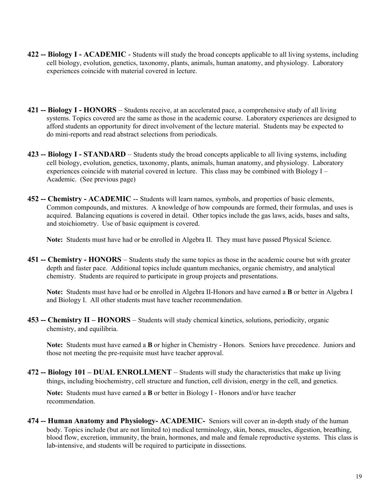- **422 -- Biology I ACADEMIC** Students will study the broad concepts applicable to all living systems, including cell biology, evolution, genetics, taxonomy, plants, animals, human anatomy, and physiology. Laboratory experiences coincide with material covered in lecture.
- **421 -- Biology I HONORS** Students receive, at an accelerated pace, a comprehensive study of all living systems. Topics covered are the same as those in the academic course. Laboratory experiences are designed to afford students an opportunity for direct involvement of the lecture material. Students may be expected to do mini-reports and read abstract selections from periodicals.
- **423 -- Biology I STANDARD** Students study the broad concepts applicable to all living systems, including cell biology, evolution, genetics, taxonomy, plants, animals, human anatomy, and physiology. Laboratory experiences coincide with material covered in lecture. This class may be combined with Biology  $I -$ Academic. (See previous page)
- **452 -- Chemistry ACADEMIC** -- Students will learn names, symbols, and properties of basic elements, Common compounds, and mixtures. A knowledge of how compounds are formed, their formulas, and uses is acquired. Balancing equations is covered in detail. Other topics include the gas laws, acids, bases and salts, and stoichiometry. Use of basic equipment is covered.

**Note:** Students must have had or be enrolled in Algebra II. They must have passed Physical Science.

**451 -- Chemistry - HONORS** – Students study the same topics as those in the academic course but with greater depth and faster pace. Additional topics include quantum mechanics, organic chemistry, and analytical chemistry. Students are required to participate in group projects and presentations.

**Note:** Students must have had or be enrolled in Algebra II-Honors and have earned a **B** or better in Algebra I and Biology I. All other students must have teacher recommendation.

**453 -- Chemistry II – HONORS** – Students will study chemical kinetics, solutions, periodicity, organic chemistry, and equilibria.

**Note:** Students must have earned a **B** or higher in Chemistry - Honors. Seniors have precedence. Juniors and those not meeting the pre-requisite must have teacher approval.

**472 -- Biology 101 – DUAL ENROLLMENT** – Students will study the characteristics that make up living things, including biochemistry, cell structure and function, cell division, energy in the cell, and genetics.

**Note:** Students must have earned a **B** or better in Biology I - Honors and/or have teacher recommendation.

**474 -- Human Anatomy and Physiology- ACADEMIC-** Seniors will cover an in-depth study of the human body. Topics include (but are not limited to) medical terminology, skin, bones, muscles, digestion, breathing, blood flow, excretion, immunity, the brain, hormones, and male and female reproductive systems. This class is lab-intensive, and students will be required to participate in dissections.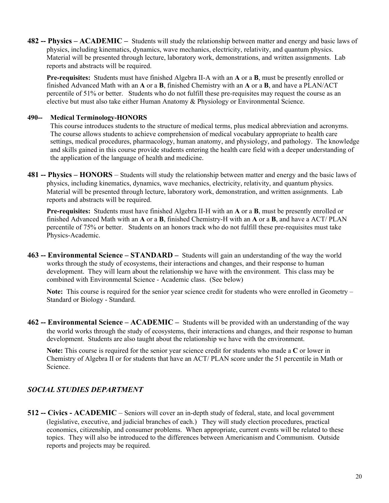**482 -- Physics – ACADEMIC –** Students will study the relationship between matter and energy and basic laws of physics, including kinematics, dynamics, wave mechanics, electricity, relativity, and quantum physics. Material will be presented through lecture, laboratory work, demonstrations, and written assignments. Lab reports and abstracts will be required.

**Pre-requisites:** Students must have finished Algebra II-A with an **A** or a **B**, must be presently enrolled or finished Advanced Math with an **A** or a **B**, finished Chemistry with an **A** or a **B**, and have a PLAN/ACT percentile of 51% or better. Students who do not fulfill these pre-requisites may request the course as an elective but must also take either Human Anatomy & Physiology or Environmental Science.

### **490-- Medical Terminology-HONORS**

This course introduces students to the structure of medical terms, plus medical abbreviation and acronyms. The course allows students to achieve comprehension of medical vocabulary appropriate to health care settings, medical procedures, pharmacology, human anatomy, and physiology, and pathology. The knowledge and skills gained in this course provide students entering the health care field with a deeper understanding of the application of the language of health and medicine.

**481 -- Physics – HONORS** – Students will study the relationship between matter and energy and the basic laws of physics, including kinematics, dynamics, wave mechanics, electricity, relativity, and quantum physics. Material will be presented through lecture, laboratory work, demonstration, and written assignments. Lab reports and abstracts will be required.

**Pre-requisites:** Students must have finished Algebra II-H with an **A** or a **B**, must be presently enrolled or finished Advanced Math with an **A** or a **B**, finished Chemistry-H with an **A** or a **B**, and have a ACT/ PLAN percentile of 75% or better. Students on an honors track who do not fulfill these pre-requisites must take Physics-Academic.

**463 -- Environmental Science – STANDARD –** Students will gain an understanding of the way the world works through the study of ecosystems, their interactions and changes, and their response to human development. They will learn about the relationship we have with the environment. This class may be combined with Environmental Science - Academic class. (See below)

**Note:** This course is required for the senior year science credit for students who were enrolled in Geometry – Standard or Biology - Standard.

**462 -- Environmental Science – ACADEMIC –** Students will be provided with an understanding of the way the world works through the study of ecosystems, their interactions and changes, and their response to human development. Students are also taught about the relationship we have with the environment.

**Note:** This course is required for the senior year science credit for students who made a **C** or lower in Chemistry of Algebra II or for students that have an ACT/ PLAN score under the 51 percentile in Math or Science.

# *SOCIAL STUDIES DEPARTMENT*

**512 -- Civics - ACADEMIC** – Seniors will cover an in-depth study of federal, state, and local government (legislative, executive, and judicial branches of each.) They will study election procedures, practical economics, citizenship, and consumer problems. When appropriate, current events will be related to these topics. They will also be introduced to the differences between Americanism and Communism. Outside reports and projects may be required.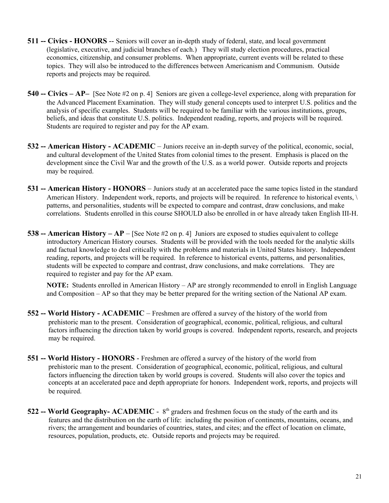- **511 -- Civics HONORS** -- Seniors will cover an in-depth study of federal, state, and local government (legislative, executive, and judicial branches of each.) They will study election procedures, practical economics, citizenship, and consumer problems. When appropriate, current events will be related to these topics. They will also be introduced to the differences between Americanism and Communism. Outside reports and projects may be required.
- **540 -- Civics AP–** [See Note #2 on p. 4] Seniors are given a college-level experience, along with preparation for the Advanced Placement Examination. They will study general concepts used to interpret U.S. politics and the analysis of specific examples. Students will be required to be familiar with the various institutions, groups, beliefs, and ideas that constitute U.S. politics. Independent reading, reports, and projects will be required. Students are required to register and pay for the AP exam.
- **532 -- American History ACADEMIC** Juniors receive an in-depth survey of the political, economic, social, and cultural development of the United States from colonial times to the present. Emphasis is placed on the development since the Civil War and the growth of the U.S. as a world power. Outside reports and projects may be required.
- **531 -- American History HONORS** Juniors study at an accelerated pace the same topics listed in the standard American History. Independent work, reports, and projects will be required. In reference to historical events,  $\langle \cdot \rangle$ patterns, and personalities, students will be expected to compare and contrast, draw conclusions, and make correlations. Students enrolled in this course SHOULD also be enrolled in or have already taken English III-H.
- **538 -- American History AP**  [See Note #2 on p. 4] Juniors are exposed to studies equivalent to college introductory American History courses. Students will be provided with the tools needed for the analytic skills and factual knowledge to deal critically with the problems and materials in United States history. Independent reading, reports, and projects will be required. In reference to historical events, patterns, and personalities, students will be expected to compare and contrast, draw conclusions, and make correlations. They are required to register and pay for the AP exam.

**NOTE:** Students enrolled in American History – AP are strongly recommended to enroll in English Language and Composition – AP so that they may be better prepared for the writing section of the National AP exam.

- **552 -- World History ACADEMIC** Freshmen are offered a survey of the history of the world from prehistoric man to the present. Consideration of geographical, economic, political, religious, and cultural factors influencing the direction taken by world groups is covered. Independent reports, research, and projects may be required.
- **551 -- World History HONORS** Freshmen are offered a survey of the history of the world from prehistoric man to the present. Consideration of geographical, economic, political, religious, and cultural factors influencing the direction taken by world groups is covered. Students will also cover the topics and concepts at an accelerated pace and depth appropriate for honors. Independent work, reports, and projects will be required.
- 522 -- World Geography- ACADEMIC 8<sup>th</sup> graders and freshmen focus on the study of the earth and its features and the distribution on the earth of life: including the position of continents, mountains, oceans, and rivers; the arrangement and boundaries of countries, states, and cites; and the effect of location on climate, resources, population, products, etc. Outside reports and projects may be required.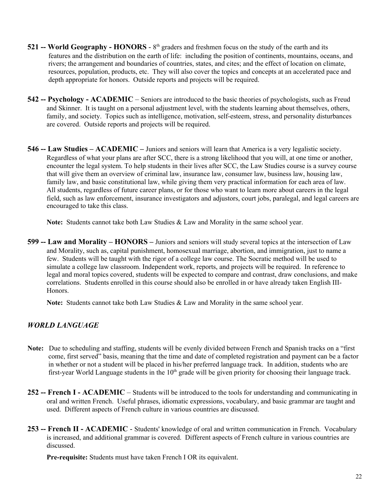- 521 -- World Geography HONORS 8<sup>th</sup> graders and freshmen focus on the study of the earth and its features and the distribution on the earth of life: including the position of continents, mountains, oceans, and rivers; the arrangement and boundaries of countries, states, and cites; and the effect of location on climate, resources, population, products, etc. They will also cover the topics and concepts at an accelerated pace and depth appropriate for honors. Outside reports and projects will be required.
- **542 -- Psychology ACADEMIC** Seniors are introduced to the basic theories of psychologists, such as Freud and Skinner. It is taught on a personal adjustment level, with the students learning about themselves, others, family, and society. Topics such as intelligence, motivation, self-esteem, stress, and personality disturbances are covered. Outside reports and projects will be required.
- **546 -- Law Studies ACADEMIC –** Juniors and seniors will learn that America is a very legalistic society. Regardless of what your plans are after SCC, there is a strong likelihood that you will, at one time or another, encounter the legal system. To help students in their lives after SCC, the Law Studies course is a survey course that will give them an overview of criminal law, insurance law, consumer law, business law, housing law, family law, and basic constitutional law, while giving them very practical information for each area of law. All students, regardless of future career plans, or for those who want to learn more about careers in the legal field, such as law enforcement, insurance investigators and adjustors, court jobs, paralegal, and legal careers are encouraged to take this class.

**Note:** Students cannot take both Law Studies & Law and Morality in the same school year.

**599 -- Law and Morality – HONORS –** Juniors and seniors will study several topics at the intersection of Law and Morality, such as, capital punishment, homosexual marriage, abortion, and immigration, just to name a few. Students will be taught with the rigor of a college law course. The Socratic method will be used to simulate a college law classroom. Independent work, reports, and projects will be required. In reference to legal and moral topics covered, students will be expected to compare and contrast, draw conclusions, and make correlations. Students enrolled in this course should also be enrolled in or have already taken English III-Honors.

**Note:** Students cannot take both Law Studies & Law and Morality in the same school year.

# *WORLD LANGUAGE*

- **Note:** Due to scheduling and staffing, students will be evenly divided between French and Spanish tracks on a "first come, first served" basis, meaning that the time and date of completed registration and payment can be a factor in whether or not a student will be placed in his/her preferred language track. In addition, students who are first-year World Language students in the  $10<sup>th</sup>$  grade will be given priority for choosing their language track.
- **252 -- French I ACADEMIC** Students will be introduced to the tools for understanding and communicating in oral and written French. Useful phrases, idiomatic expressions, vocabulary, and basic grammar are taught and used. Different aspects of French culture in various countries are discussed.
- **253 -- French II ACADEMIC** Students' knowledge of oral and written communication in French. Vocabulary is increased, and additional grammar is covered. Different aspects of French culture in various countries are discussed.

**Pre-requisite:** Students must have taken French I OR its equivalent.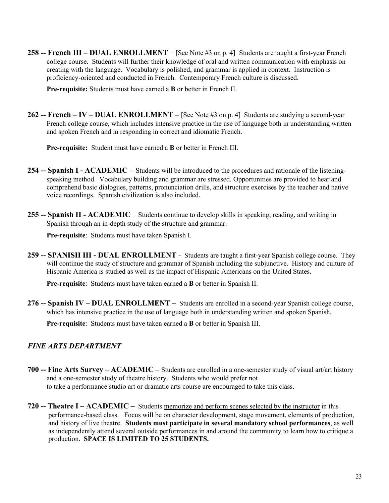**258 -- French III – DUAL ENROLLMENT** – [See Note #3 on p. 4] Students are taught a first-year French college course. Students will further their knowledge of oral and written communication with emphasis on creating with the language. Vocabulary is polished, and grammar is applied in context. Instruction is proficiency-oriented and conducted in French. Contemporary French culture is discussed.

**Pre-requisite:** Students must have earned a **B** or better in French II.

**262 -- French – IV – DUAL ENROLLMENT –** [See Note #3 on p. 4] Students are studying a second-year French college course, which includes intensive practice in the use of language both in understanding written and spoken French and in responding in correct and idiomatic French.

**Pre-requisite:** Student must have earned a **B** or better in French III.

- **254 -- Spanish I ACADEMIC** Students will be introduced to the procedures and rationale of the listeningspeaking method. Vocabulary building and grammar are stressed. Opportunities are provided to hear and comprehend basic dialogues, patterns, pronunciation drills, and structure exercises by the teacher and native voice recordings. Spanish civilization is also included.
- **255 -- Spanish II ACADEMIC** Students continue to develop skills in speaking, reading, and writing in Spanish through an in-depth study of the structure and grammar.

**Pre-requisite**: Students must have taken Spanish I.

**259 -- SPANISH III - DUAL ENROLLMENT** - Students are taught a first-year Spanish college course. They will continue the study of structure and grammar of Spanish including the subjunctive. History and culture of Hispanic America is studied as well as the impact of Hispanic Americans on the United States.

**Pre-requisite**: Students must have taken earned a **B** or better in Spanish II.

**276 -- Spanish IV – DUAL ENROLLMENT –** Students are enrolled in a second-year Spanish college course, which has intensive practice in the use of language both in understanding written and spoken Spanish.

**Pre-requisite**: Students must have taken earned a **B** or better in Spanish III.

# *FINE ARTS DEPARTMENT*

- **700 -- Fine Arts Survey ACADEMIC –** Students are enrolled in a one-semester study of visual art/art history and a one-semester study of theatre history. Students who would prefer not to take a performance studio art or dramatic arts course are encouraged to take this class.
- **720 -- Theatre I ACADEMIC** Students memorize and perform scenes selected by the instructor in this performance-based class. Focus will be on character development, stage movement, elements of production, and history of live theatre. **Students must participate in several mandatory school performances**, as well as independently attend several outside performances in and around the community to learn how to critique a production. **SPACE IS LIMITED TO 25 STUDENTS.**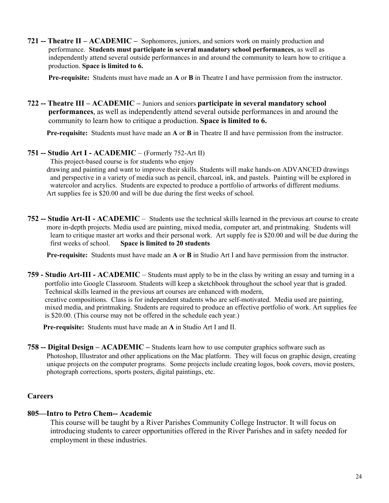**721 -- Theatre II – ACADEMIC –** Sophomores, juniors, and seniors work on mainly production and performance. **Students must participate in several mandatory school performances**, as well as independently attend several outside performances in and around the community to learn how to critique a production. **Space is limited to 6.**

**Pre-requisite:** Students must have made an **A** or **B** in Theatre I and have permission from the instructor.

**722 -- Theatre III – ACADEMIC –** Juniors and seniors **participate in several mandatory school performances**, as well as independently attend several outside performances in and around the community to learn how to critique a production. **Space is limited to 6.**

**Pre-requisite:** Students must have made an **A** or **B** in Theatre II and have permission from the instructor.

#### **751 -- Studio Art I - ACADEMIC** – (Formerly 752-Art II)

This project-based course is for students who enjoy drawing and painting and want to improve their skills. Students will make hands-on ADVANCED drawings and perspective in a variety of media such as pencil, charcoal, ink, and pastels. Painting will be explored in watercolor and acrylics. Students are expected to produce a portfolio of artworks of different mediums. Art supplies fee is \$20.00 and will be due during the first weeks of school.

**752 -- Studio Art-II - ACADEMIC** – Students use the technical skills learned in the previous art course to create more in-depth projects. Media used are painting, mixed media, computer art, and printmaking. Students will learn to critique master art works and their personal work. Art supply fee is \$20.00 and will be due during the first weeks of school. **Space is limited to 20 students**

**Pre-requisite:** Students must have made an **A** or **B** in Studio Art I and have permission from the instructor.

**759 - Studio Art-III - ACADEMIC** – Students must apply to be in the class by writing an essay and turning in a portfolio into Google Classroom. Students will keep a sketchbook throughout the school year that is graded. Technical skills learned in the previous art courses are enhanced with modern, creative compositions. Class is for independent students who are self-motivated. Media used are painting, mixed media, and printmaking. Students are required to produce an effective portfolio of work. Art supplies fee is \$20.00. (This course may not be offered in the schedule each year.)

**Pre-requisite:** Students must have made an **A** in Studio Art I and II.

**758 -- Digital Design – ACADEMIC –** Students learn how to use computer graphics software such as Photoshop, Illustrator and other applications on the Mac platform. They will focus on graphic design, creating unique projects on the computer programs. Some projects include creating logos, book covers, movie posters, photograph corrections, sports posters, digital paintings, etc.

#### **Careers**

# **805—Intro to Petro Chem-- Academic**

This course will be taught by a River Parishes Community College Instructor. It will focus on introducing students to career opportunities offered in the River Parishes and in safety needed for employment in these industries.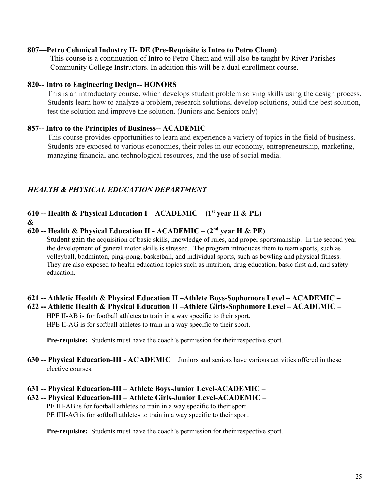# **807—Petro Cehmical Industry II- DE (Pre-Requisite is Intro to Petro Chem)**

This course is a continuation of Intro to Petro Chem and will also be taught by River Parishes Community College Instructors. In addition this will be a dual enrollment course.

# **820-- Intro to Engineering Design-- HONORS**

This is an introductory course, which develops student problem solving skills using the design process. Students learn how to analyze a problem, research solutions, develop solutions, build the best solution, test the solution and improve the solution. (Juniors and Seniors only)

# **857-- Intro to the Principles of Business-- ACADEMIC**

This course provides opportunities to learn and experience a variety of topics in the field of business. Students are exposed to various economies, their roles in our economy, entrepreneurship, marketing, managing financial and technological resources, and the use of social media.

# *HEALTH & PHYSICAL EDUCATION DEPARTMENT*

# **610 -- Health & Physical Education I – ACADEMIC – (1st year H & PE)**

**&**

# **620 -- Health & Physical Education II - ACADEMIC** – **(2nd year H & PE)**

 Student gain the acquisition of basic skills, knowledge of rules, and proper sportsmanship. In the second year the development of general motor skills is stressed. The program introduces them to team sports, such as volleyball, badminton, ping-pong, basketball, and individual sports, such as bowling and physical fitness. They are also exposed to health education topics such as nutrition, drug education, basic first aid, and safety education.

### **621 -- Athletic Health & Physical Education II –Athlete Boys-Sophomore Level – ACADEMIC – 622 -- Athletic Health & Physical Education II –Athlete Girls-Sophomore Level – ACADEMIC –**

HPE II-AB is for football athletes to train in a way specific to their sport. HPE II-AG is for softball athletes to train in a way specific to their sport.

**Pre-requisite:** Students must have the coach's permission for their respective sport.

- **630 -- Physical Education-III ACADEMIC** Juniors and seniors have various activities offered in these elective courses.
- **631 -- Physical Education-III Athlete Boys-Junior Level-ACADEMIC –**

# **632 -- Physical Education-III – Athlete Girls-Junior Level-ACADEMIC –** PE III-AB is for football athletes to train in a way specific to their sport.

PE IIII-AG is for softball athletes to train in a way specific to their sport.

**Pre-requisite:** Students must have the coach's permission for their respective sport.